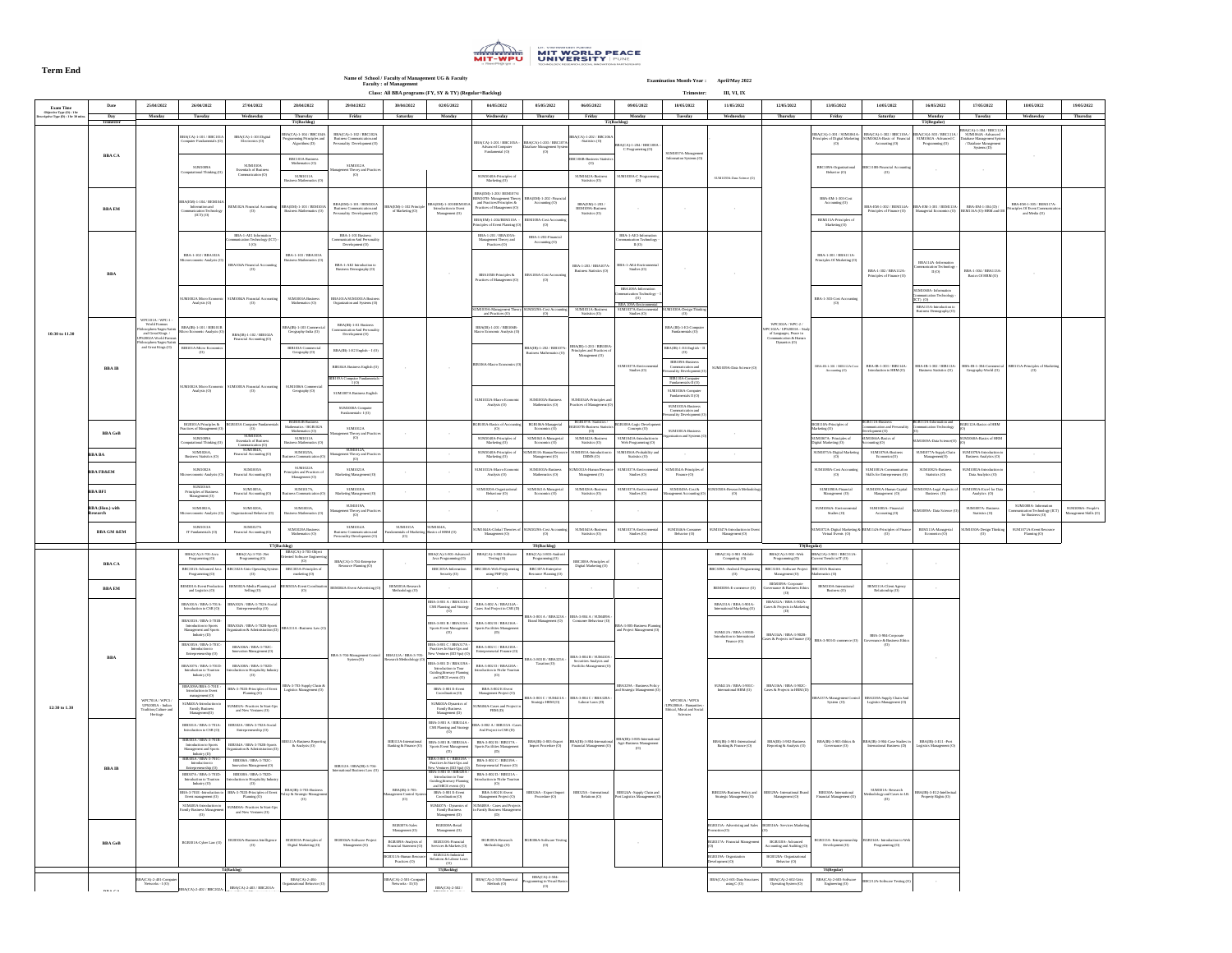## **Term End**



**Name of School / Faculty of Management UG & Faculty Faculty : of Management**

**Class: Trimester: III, VI, IX All BBA programs (FY, SY & TY) (Regular+Backlog)**

| 13/05/2022<br>Friday                                                                             | 14/05/2022<br><b>Saturday</b>                                                                                                                              | 16/05/2022<br><b>Monday</b>                                                                                                                           | 17/05/2022<br><b>Tuesday</b>                                                                                               | 18/05/2022<br>Wednesday                                                       | 19/05/2022<br><b>Thursday</b>               |  |  |  |
|--------------------------------------------------------------------------------------------------|------------------------------------------------------------------------------------------------------------------------------------------------------------|-------------------------------------------------------------------------------------------------------------------------------------------------------|----------------------------------------------------------------------------------------------------------------------------|-------------------------------------------------------------------------------|---------------------------------------------|--|--|--|
|                                                                                                  |                                                                                                                                                            | T3(Regular)                                                                                                                                           | BBA(CA)-1-304 / BBC112A /                                                                                                  |                                                                               |                                             |  |  |  |
| 4)-1-301 / SUM1061A-<br>les of Digital Marketing<br>(0)                                          | BBA(CA)-1-302 / BBC110A /<br>SUM1062A-Basic of Financial<br>Accounting (O)                                                                                 | BBA(CA)1-303 / BBC111A /<br>SUM1063A - Advanced C<br>Programming (O)                                                                                  | SUM1064A-Advanced<br>Database Management System<br>/ Database Management<br>Systems $(D)$                                  |                                                                               |                                             |  |  |  |
| 109A-Organizational<br>Behavior (O)                                                              | <b>BBC110B-Financial Accounting</b><br>(O)                                                                                                                 |                                                                                                                                                       |                                                                                                                            |                                                                               |                                             |  |  |  |
| A-EM-1-303-Cost<br>Accounting (O)                                                                | BBA-EM-1-302 / BEM114A-<br>Principles of Finance (O)                                                                                                       | BBA-EM-1-301 / BEM113A-<br>Managerial Economics (O)                                                                                                   | BBA-EM-1-304 (D) /<br>BEM116A (O)-HRM and OB                                                                               | BBA-EM-1-305 / BEM117A-<br>Principles Of Event Communication<br>and Media (O) |                                             |  |  |  |
| 1115A-Principles of<br>Marketing (O)                                                             |                                                                                                                                                            |                                                                                                                                                       |                                                                                                                            |                                                                               |                                             |  |  |  |
|                                                                                                  |                                                                                                                                                            |                                                                                                                                                       |                                                                                                                            |                                                                               |                                             |  |  |  |
| $-1-301 / BBA111A-$<br>ples Of Marketing (O)                                                     | BBA-1-302 / BBA112A-<br>Principles of Finance (O)                                                                                                          | <b>BBA114A</b> - Information<br>Communication Technology -<br>II(0)                                                                                   | BBA-1-304 / BBA113A-<br>Basics Of HRM (O)                                                                                  | $\overline{\phantom{a}}$                                                      |                                             |  |  |  |
| -303-Cost Accounting<br>(O)                                                                      |                                                                                                                                                            | SUM1060A- Information<br>Communication Technology -<br>$(ICT)$ $(O)$<br>BBA115A-Introduction to<br>Business Demography (O)                            |                                                                                                                            |                                                                               |                                             |  |  |  |
| B-1-301 / BIB112A-Cost<br>Accounting (O)                                                         | BBA-IB-1-303 / BIB114A-<br>Introduction to HRM (O)                                                                                                         | BBA-IB-1-302 / BIB113A-<br>Business Statistics (O)                                                                                                    | BBA-IB-1-304-Commercial<br>Geography-World (O)                                                                             | <b>BIB115A-Principles of Marketing</b><br>(O)                                 |                                             |  |  |  |
| A-Principles of<br>$\lg(O)$<br>7A-Principles of<br>Aarketing (O)<br>75A-Digital Marketing<br>(0) | BGB111A-Business<br>Communication and Personality<br>Development (O)<br>SUM1066A-Basics of<br>$\text{Accounting} (O)$<br>SUM1076A-Business<br>Economics(O) | BGB113A-Information and<br><b>Communication Technology</b><br>$\left( 0\right)$<br>SUM1069A-Data Science(O)<br>SUM1077A-Supply Chain<br>Management(O) | <b>BGB112A-Basics of HRM</b><br>(O)<br>SUM1068A-Basics of HRM<br>(O)<br>SUM1078A-Introduction to<br>Business Analytics (O) |                                                                               |                                             |  |  |  |
| 080A-Cost Accounting<br>(O)                                                                      | SUM1081A-Communication<br>Skills for Entrepreneurs (O)                                                                                                     | SUM1082A-Business<br>Statistics (O)                                                                                                                   | SUM1083A-Introduction to<br>Data Analytics (O)                                                                             |                                                                               |                                             |  |  |  |
| M1090A-Financial<br>Management (O)                                                               | SUM1091A-Human Capital<br>Management (O)                                                                                                                   | SUM1092A-Legal Aspects of<br>Business (O)                                                                                                             | SUM1093A-Excel for Data<br>Analytics (O)                                                                                   |                                                                               |                                             |  |  |  |
| 084A- Environmental<br>Studies $(O)$                                                             | SUM1085A-Financial<br>$\text{Accounting} (O)$                                                                                                              | SUM1089A- Data Science (O)                                                                                                                            | SUM1087A-Business<br>Statistics (O)                                                                                        | SUM1088A- Information<br>Communication Technology (ICT)<br>for Business $(O)$ | SUM1086A- People's<br>Management Skills (O) |  |  |  |
| irtual Events (O)                                                                                | 2A-Digital Marketing $\&$ BEM114A-Principles of Finance<br>(O)                                                                                             | BEM113A-Managerial<br>Economics (O)                                                                                                                   | SUM1030A-Design Thinking<br>(0)                                                                                            | SUM1071A-Event Resource<br>Planning $(O)$                                     |                                             |  |  |  |
| $\lambda$ )-3-903 / BBC311A-<br>Trends in $IT(0)$<br>A Business<br>tics $(O)$                    |                                                                                                                                                            |                                                                                                                                                       |                                                                                                                            |                                                                               |                                             |  |  |  |
| 1310A-International<br>Business (O)                                                              | BEM311A-Client Agency<br>Relationship (O)                                                                                                                  |                                                                                                                                                       |                                                                                                                            |                                                                               |                                             |  |  |  |
| $-903$ -E-commerce $(O)$                                                                         | BBA-3-904-Corporate<br>Governance & Business Ethics<br>(O)                                                                                                 |                                                                                                                                                       |                                                                                                                            |                                                                               |                                             |  |  |  |
| A-Management Control<br>System (O)                                                               | BBA338A-Supply Chain And<br>Logistics Management (O)                                                                                                       |                                                                                                                                                       |                                                                                                                            |                                                                               |                                             |  |  |  |
| $(IB)$ -3-903-Ethics &<br>Governance (O)                                                         | BBA(IB)-3-904-Case Studies in<br>International Business (D)                                                                                                | BBA(IB)-3-E11-Port<br>Logistics Management (O)                                                                                                        |                                                                                                                            |                                                                               |                                             |  |  |  |
| 330A- International<br>cial Management (O)                                                       | SUM301A-Research<br>Methodology and Cases in I.B.<br>(D)                                                                                                   | BBA(IB)-3-E12-Intellectual<br>Property Rights (O)                                                                                                     |                                                                                                                            |                                                                               |                                             |  |  |  |
| 13A-Entrepreneurship<br>Development (O)                                                          | BGB314A- Introduction to Web<br>Programming (O)                                                                                                            |                                                                                                                                                       |                                                                                                                            |                                                                               |                                             |  |  |  |
| <b>T6(Regular)</b><br>CA)-2-603-Software<br>Engineering (O)                                      | BBC212A-Software Testing (O)                                                                                                                               |                                                                                                                                                       |                                                                                                                            |                                                                               |                                             |  |  |  |

|                                                                                           | <b>Date</b>                                                                                                                                                                                                                                                                                                                                                     | 25/04/2022                                                                | 26/04/2022                                                                                                                                                                  | 27/04/2022                                                                                                                 | 28/04/2022                                                          | 29/04/2022                                                                                                                                                                                                                                                      | $\frac{1}{2}$<br>30/04/2022                                                                                      | 02/05/2022                                                                         | 04/05/2022                                                                        | 05/05/2022                                                                                                 | 06/05/2022                                                                                                 | 09/05/2022                                                                     | -------------<br>10/05/2022                                           | 11/05/2022                                                                        | 12/05/2022                                                                  | 13/05/2022                                                                                                                   | 14/05/2022                                                                                 | 16/05/2022                                                           | 17/05/2022                                                              | 18/05/2022<br>19/05/2022                                                      |                       |  |  |  |
|-------------------------------------------------------------------------------------------|-----------------------------------------------------------------------------------------------------------------------------------------------------------------------------------------------------------------------------------------------------------------------------------------------------------------------------------------------------------------|---------------------------------------------------------------------------|-----------------------------------------------------------------------------------------------------------------------------------------------------------------------------|----------------------------------------------------------------------------------------------------------------------------|---------------------------------------------------------------------|-----------------------------------------------------------------------------------------------------------------------------------------------------------------------------------------------------------------------------------------------------------------|------------------------------------------------------------------------------------------------------------------|------------------------------------------------------------------------------------|-----------------------------------------------------------------------------------|------------------------------------------------------------------------------------------------------------|------------------------------------------------------------------------------------------------------------|--------------------------------------------------------------------------------|-----------------------------------------------------------------------|-----------------------------------------------------------------------------------|-----------------------------------------------------------------------------|------------------------------------------------------------------------------------------------------------------------------|--------------------------------------------------------------------------------------------|----------------------------------------------------------------------|-------------------------------------------------------------------------|-------------------------------------------------------------------------------|-----------------------|--|--|--|
| <b>Exam Time</b><br>Objective Type $(O)$ : 1 hr<br>Descriptive Type $(D)$ : 1 hr 30 mins. | Day                                                                                                                                                                                                                                                                                                                                                             | <b>Monday</b>                                                             | Tuesday                                                                                                                                                                     | Wednesday                                                                                                                  | <b>Thursday</b>                                                     | Friday                                                                                                                                                                                                                                                          | <b>Saturday</b>                                                                                                  | <b>Monday</b>                                                                      | Wednesday                                                                         | Thursday                                                                                                   | Friday                                                                                                     | <b>Monday</b>                                                                  | Tuesday                                                               | Wednesday                                                                         | <b>Thursday</b>                                                             | Friday                                                                                                                       | <b>Saturday</b>                                                                            | <b>Monday</b>                                                        | Tuesday                                                                 | Wednesday                                                                     | <b>Thursday</b>       |  |  |  |
|                                                                                           | <b>Trimester</b>                                                                                                                                                                                                                                                                                                                                                |                                                                           |                                                                                                                                                                             |                                                                                                                            | T1(Backlog)                                                         | $\vert$ BBA(CA)-1-104 / BBC104A $\vert$ BBA(CA)-1-102 / BBC102A                                                                                                                                                                                                 |                                                                                                                  |                                                                                    |                                                                                   |                                                                                                            |                                                                                                            | T2(Backlog)                                                                    |                                                                       |                                                                                   |                                                                             |                                                                                                                              | $\vert$ BBA(CA)-1-301 / SUM1061A- $\vert$ BBA(CA)-1-302 / BBC110A / BBA(CA)1-303 / BBC111A | T3(Regular)                                                          | BBA(CA)-1-304 / BBC112A / <br>SUM1064A - Advanced                       |                                                                               |                       |  |  |  |
|                                                                                           |                                                                                                                                                                                                                                                                                                                                                                 | $BBA(CA)-1-101/BBC101A$<br>Computer Fundamentals (O)                      | BBA(CA)-1-103 Digital<br>Electronics (O)                                                                                                                                    | Programming Principles and<br>Algorithms (D)                                                                               | Business Communication and<br>Personality Development (O)           |                                                                                                                                                                                                                                                                 |                                                                                                                  | <b>Advanced Computer</b>                                                           | Database Management System                                                        | $\vert$ BBA(CA)-1-202 / BBC106A $\vert$<br>-Statistics (O)                                                 | BBA(CA)-1-204 / BBC108A -                                                                                  |                                                                                |                                                                       |                                                                                   | (())                                                                        | Principles of Digital Marketing   SUM1062A-Basic of Financial<br>$\text{Accounting} (O)$                                     | SUM1063A - Advanced C<br>Programming (O)                                                   | Database Management System  <br>/ Database Management<br>Systems (D) |                                                                         |                                                                               |                       |  |  |  |
|                                                                                           | <b>BBA CA</b>                                                                                                                                                                                                                                                                                                                                                   |                                                                           |                                                                                                                                                                             |                                                                                                                            | <b>BBC103A Business</b>                                             |                                                                                                                                                                                                                                                                 |                                                                                                                  |                                                                                    | Fundamental (O)                                                                   | (O)                                                                                                        | <b>BBC106B-Business Statistics</b>                                                                         | C Programming (O)                                                              | SUM1057A-Management<br>Information Systems (O)                        |                                                                                   |                                                                             |                                                                                                                              |                                                                                            |                                                                      |                                                                         |                                                                               |                       |  |  |  |
|                                                                                           |                                                                                                                                                                                                                                                                                                                                                                 |                                                                           | <b>SUM1009A</b><br>Computational Thinking (O)                                                                                                                               | <b>SUM1010A</b><br><b>Essentials of Business</b><br>Communication (O)                                                      | Mathematics (O)                                                     | <b>SUM1012A</b><br>Management Theory and Practices<br>(O)                                                                                                                                                                                                       |                                                                                                                  |                                                                                    |                                                                                   |                                                                                                            | (O)                                                                                                        |                                                                                |                                                                       |                                                                                   |                                                                             | BBC109A-Organizational<br>Behavior (O)                                                                                       | BBC110B-Financial Accounting<br>(O)                                                        |                                                                      |                                                                         |                                                                               |                       |  |  |  |
|                                                                                           |                                                                                                                                                                                                                                                                                                                                                                 |                                                                           |                                                                                                                                                                             |                                                                                                                            | <b>SUM1011A</b><br>Business Mathematics (O)                         |                                                                                                                                                                                                                                                                 |                                                                                                                  |                                                                                    | SUM1040A-Principles of<br>Marketing (O)                                           |                                                                                                            | SUM1042A-Business<br>Statistics (O)                                                                        | SUM1038A-C Programming<br>(O)                                                  |                                                                       | SUM1039A-Data Science (O)                                                         |                                                                             |                                                                                                                              |                                                                                            |                                                                      |                                                                         |                                                                               |                       |  |  |  |
|                                                                                           |                                                                                                                                                                                                                                                                                                                                                                 |                                                                           | $BBA(EM)-1-104$ / BEM104A                                                                                                                                                   |                                                                                                                            |                                                                     |                                                                                                                                                                                                                                                                 |                                                                                                                  |                                                                                    | BBA(EM)-1-201/ BEM107A/<br>BEM107B-Management Theory   BBA(EM)-1-202 - Financial  |                                                                                                            |                                                                                                            |                                                                                |                                                                       |                                                                                   |                                                                             | <b>BBA-EM-1-303-Cost</b>                                                                                                     |                                                                                            |                                                                      |                                                                         |                                                                               |                       |  |  |  |
|                                                                                           | <b>BBA EM</b>                                                                                                                                                                                                                                                                                                                                                   |                                                                           | Information and<br><b>Communication Technology</b><br>(ICT) (O)                                                                                                             | BEM102A Financial Accounting<br>(O)                                                                                        | <b>Business Mathematics (O</b>                                      | BBA(EM)-1-101 / BEM101A<br><b>Business Communication and</b><br>Personality Development (O)                                                                                                                                                                     | BBA(EM)-1-102 Principle   BBA(EM)-1-105/BEM105 $\sim$<br>of Marketing (O)                                        | Introduction to Event<br>Management (O)                                            | and Practices/Principles $\&$<br>Practices of Management (O)                      | $\text{Accounting} (O)$                                                                                    | BBA(EM)-1-203 /<br>BEM109A-Business<br>Statistics (O)                                                      |                                                                                | $\sim$ 100 $\sim$                                                     | <b>Contract Contract</b>                                                          |                                                                             | Accounting $(O)$                                                                                                             | BBA-EM-1-302 / BEM114A-   BBA-EM-1-301 / BEM113A-  <br>Principles of Finance (O)           |                                                                      | BBA-EM-1-304 (D) /<br>Managerial Economics (O)   BEM116A (O)-HRM and OB | BBA-EM-1-305 / BEM117A-<br>Principles Of Event Communication<br>and Media (O) |                       |  |  |  |
|                                                                                           |                                                                                                                                                                                                                                                                                                                                                                 |                                                                           |                                                                                                                                                                             |                                                                                                                            |                                                                     |                                                                                                                                                                                                                                                                 |                                                                                                                  |                                                                                    | BBA(EM)-1-204/BEM110A -<br>Principles of Event Planning (O)                       | BEM108A-Cost Accounting<br>(O)                                                                             |                                                                                                            |                                                                                |                                                                       |                                                                                   |                                                                             | BEM115A-Principles of<br>Marketing (O)                                                                                       |                                                                                            |                                                                      |                                                                         |                                                                               |                       |  |  |  |
|                                                                                           |                                                                                                                                                                                                                                                                                                                                                                 |                                                                           |                                                                                                                                                                             | BBA-1-AE1 Information<br>ommunication Technology (ICT)                                                                     |                                                                     | BBA-1-101 Business<br><b>Communication And Personality</b>                                                                                                                                                                                                      |                                                                                                                  |                                                                                    | BBA-1-201 / BBA105A-<br>Management Theory and                                     | BBA-1-202-Financial<br>$\text{Accounting} (O)$                                                             |                                                                                                            | BBA-1-AE3-Information<br>Communication Technology                              |                                                                       |                                                                                   |                                                                             |                                                                                                                              |                                                                                            |                                                                      |                                                                         |                                                                               |                       |  |  |  |
|                                                                                           |                                                                                                                                                                                                                                                                                                                                                                 |                                                                           | BBA-1-102 / BBA102A                                                                                                                                                         | I(O)                                                                                                                       | BBA-1-103 / BBA103A                                                 | Development (O)                                                                                                                                                                                                                                                 |                                                                                                                  |                                                                                    | Practices (O)                                                                     |                                                                                                            |                                                                                                            | $\Pi$ (O)                                                                      |                                                                       |                                                                                   |                                                                             | BBA-1-301 / BBA111A-                                                                                                         |                                                                                            |                                                                      |                                                                         |                                                                               |                       |  |  |  |
|                                                                                           |                                                                                                                                                                                                                                                                                                                                                                 |                                                                           | Microeconomic Analysis (O)                                                                                                                                                  | <b>BBA104A Financial Accounting</b><br>(O)                                                                                 | Business Mathematics (O)                                            | BBA-1-AE2 Introduction to<br>Business Demography (O)                                                                                                                                                                                                            |                                                                                                                  |                                                                                    |                                                                                   |                                                                                                            | BBA-1-203 / BBA107A-                                                                                       | BBA-1-AE4-Environmental<br>Studies (O)                                         |                                                                       |                                                                                   |                                                                             | Principles Of Marketing (O)                                                                                                  |                                                                                            | BBA114A - Information<br><b>Communication Technology</b>             |                                                                         |                                                                               |                       |  |  |  |
|                                                                                           | <b>BBA</b>                                                                                                                                                                                                                                                                                                                                                      |                                                                           |                                                                                                                                                                             |                                                                                                                            |                                                                     |                                                                                                                                                                                                                                                                 |                                                                                                                  |                                                                                    | BBA105B-Principles $&$<br>Practices of Management (O)                             | BBA106A-Cost Accounting<br>(O)                                                                             | Business Statistics (O)                                                                                    |                                                                                |                                                                       |                                                                                   |                                                                             |                                                                                                                              | BBA-1-302 / BBA112A-<br>Principles of Finance (O)                                          | $\mathbf{II}(\mathbf{O})$                                            | BBA-1-304 / BBA113A-<br>Basics Of HRM (O)                               |                                                                               |                       |  |  |  |
|                                                                                           |                                                                                                                                                                                                                                                                                                                                                                 |                                                                           |                                                                                                                                                                             |                                                                                                                            |                                                                     |                                                                                                                                                                                                                                                                 |                                                                                                                  |                                                                                    |                                                                                   |                                                                                                            |                                                                                                            | BBA108A-Information<br>Communication Technology                                |                                                                       |                                                                                   |                                                                             |                                                                                                                              |                                                                                            | SUM1060A-Information<br>Communication Technology                     |                                                                         |                                                                               |                       |  |  |  |
|                                                                                           |                                                                                                                                                                                                                                                                                                                                                                 |                                                                           | Analysis (O)                                                                                                                                                                | SUM1002A Micro Economic   SUM1004A Financial Accounting<br>(O)                                                             | SUM1003A Business<br>Mathematics (O)                                | BBA101A/SUM1001A Business<br>Organization and Systems (O)                                                                                                                                                                                                       |                                                                                                                  |                                                                                    | SUM1019A-Management Theory SUM1029A-Cost Accounting                               |                                                                                                            | SUM1031A-Business                                                                                          | (O)<br><b>BBA 109A-Environmental</b><br>SUM1037A-Environmental                 | $\vert$ SUM1030A-Design Thinking                                      |                                                                                   |                                                                             | BBA-1-303-Cost Accounting<br>(O)                                                                                             |                                                                                            | (ICT) (O)<br>BBA115A-Introduction to                                 |                                                                         |                                                                               |                       |  |  |  |
|                                                                                           |                                                                                                                                                                                                                                                                                                                                                                 | WPC101A / WPC-1 -                                                         |                                                                                                                                                                             |                                                                                                                            |                                                                     |                                                                                                                                                                                                                                                                 |                                                                                                                  |                                                                                    | and Practices (O)                                                                 | (O)                                                                                                        | Statistics (O)                                                                                             | Studies (O)                                                                    | (0)                                                                   |                                                                                   |                                                                             |                                                                                                                              |                                                                                            | Business Demography (O)                                              |                                                                         |                                                                               |                       |  |  |  |
| 10:30 to 11.30                                                                            |                                                                                                                                                                                                                                                                                                                                                                 | World Famous<br>and Great Kings /                                         | Philosophers/Sages/Saints   BBA(IB)-1-101 / BIB101B<br>Micro Economic Analysis (O)                                                                                          | BBA(IB)-1-102 / BIB102A                                                                                                    | BBA(IB)-1-103 Commercial<br>Geography-India (O)                     | BBA(IB)-1-E1 Business<br><b>Communication And Personality</b><br>Development (O)                                                                                                                                                                                |                                                                                                                  |                                                                                    | BBA(IB)-1-201 / BIB106B-<br>Macro Economic Analysis (O)                           |                                                                                                            |                                                                                                            |                                                                                | BBA (IB)-1-E3-Computer<br>Fundamentals (O)                            |                                                                                   | WPC302A / WPC-2 /<br>$WPC102A / UPS2003A - Study$<br>of Languages, Peace in |                                                                                                                              |                                                                                            |                                                                      |                                                                         |                                                                               |                       |  |  |  |
|                                                                                           |                                                                                                                                                                                                                                                                                                                                                                 | UPS2002A World Famous<br>Philosophers/Sages/Saints<br>and Great Kings (O) | <b>BIB101A Micro Economics</b>                                                                                                                                              | Financial Accounting (O)                                                                                                   | <b>BIB103A Commercial</b>                                           |                                                                                                                                                                                                                                                                 |                                                                                                                  |                                                                                    |                                                                                   | $\mid \text{BBA(IB)-1-202} \ / \ \text{BIB107A-} \ \mid \text{BBA(IB)-1-203} \ / \ \text{BIB108A-} \ \mid$ |                                                                                                            |                                                                                | $\mid$ BBA(IB)-1-E4-English-                                          |                                                                                   | Communication & Human<br>Dynamics (O)                                       |                                                                                                                              |                                                                                            |                                                                      |                                                                         |                                                                               |                       |  |  |  |
|                                                                                           |                                                                                                                                                                                                                                                                                                                                                                 |                                                                           | (O)                                                                                                                                                                         |                                                                                                                            | Geography (O)                                                       | $BBA(IB)-1-E2$ English – I (O)                                                                                                                                                                                                                                  |                                                                                                                  |                                                                                    |                                                                                   | Business Mathematics (O)                                                                                   | Principles and Practices of<br>Management (O)                                                              |                                                                                | (O)<br>BIB109A-Business                                               |                                                                                   |                                                                             |                                                                                                                              |                                                                                            |                                                                      |                                                                         |                                                                               |                       |  |  |  |
|                                                                                           | <b>BBAIB</b>                                                                                                                                                                                                                                                                                                                                                    |                                                                           |                                                                                                                                                                             |                                                                                                                            |                                                                     | BIB104A Business English (O)                                                                                                                                                                                                                                    |                                                                                                                  |                                                                                    | BIB106A-Macro Economics (O                                                        |                                                                                                            |                                                                                                            | SUM1037A-Environmental<br>Studies (O)                                          | Communication and<br>Personality Development (O)                      | SUM1039A-Data Science (O)                                                         |                                                                             | BBA-IB-1-301 / BIB112A-Co<br>Accounting $(O)$                                                                                | BBA-IB-1-303 / BIB114A-<br>Introduction to HRM (O)                                         | BBA-IB-1-302 / BIB113A-<br>Business Statistics (O)                   | Geography-World (O)                                                     | BBA-IB-1-304-Commercial   BIB115A-Principles of Marketing                     |                       |  |  |  |
|                                                                                           |                                                                                                                                                                                                                                                                                                                                                                 |                                                                           |                                                                                                                                                                             | SUM1002A Micro Economic   SUM1005A Financial Accounting                                                                    | SUM1006A Commercial                                                 | BIB105A Computer Fundamentals -<br>I(0)                                                                                                                                                                                                                         |                                                                                                                  |                                                                                    |                                                                                   |                                                                                                            |                                                                                                            |                                                                                | BIB110A-Computer<br>Fundamentals-II (O)                               |                                                                                   |                                                                             |                                                                                                                              |                                                                                            |                                                                      |                                                                         |                                                                               |                       |  |  |  |
|                                                                                           |                                                                                                                                                                                                                                                                                                                                                                 |                                                                           |                                                                                                                                                                             |                                                                                                                            | Analysis (O)                                                        | (O)                                                                                                                                                                                                                                                             | Geography (O)                                                                                                    | SUM1007A Business English                                                          |                                                                                   |                                                                                                            | SUM1033A-Macro Economic                                                                                    | SUM1003A-Business                                                              | $\vert$ SUM1034A-Principles and $\vert$                               |                                                                                   | SUM1036A-Computer<br>Fundamentals II (O)                                    |                                                                                                                              |                                                                                            |                                                                      |                                                                         |                                                                               |                       |  |  |  |
|                                                                                           |                                                                                                                                                                                                                                                                                                                                                                 |                                                                           |                                                                                                                                                                             |                                                                                                                            |                                                                     | SUM1008A Computer<br>Fundamentals-I(O)                                                                                                                                                                                                                          |                                                                                                                  |                                                                                    | Analysis (O)                                                                      | Mathematics (O)                                                                                            | Practices of Management (O)                                                                                |                                                                                | SUM1035A-Business<br>Communication and<br>Personality Development (O) |                                                                                   |                                                                             |                                                                                                                              |                                                                                            |                                                                      |                                                                         |                                                                               |                       |  |  |  |
|                                                                                           |                                                                                                                                                                                                                                                                                                                                                                 |                                                                           | BGB101A Principles $\&$<br>Practices of Management (O)                                                                                                                      | <b>BGB103A Computer Fundamentals</b><br>$\left( 0\right)$                                                                  | <b>BGB102B Business</b><br>Mathematics / BGB102A                    | <b>SUM1012A</b>                                                                                                                                                                                                                                                 |                                                                                                                  |                                                                                    | BGB105A-Basics of Accounting<br>(O)                                               | BGB106A-Managerial<br>Economics (O)                                                                        | BGB107A-Statistics /<br>BGB107B-Business Statistics                                                        | BGB108A-Logic Development<br>Concepts (O)                                      |                                                                       |                                                                                   |                                                                             | BGB110A-Principles of<br>Marketing (O)                                                                                       | BGB111A-Business<br>Communication and Personality   Communication Technology               | <b>BGB113A-Information and</b>                                       | BGB112A-Basics of HRM                                                   |                                                                               |                       |  |  |  |
|                                                                                           | <b>BBA GeB</b>                                                                                                                                                                                                                                                                                                                                                  |                                                                           | <b>SUM1009A</b><br>Computational Thinking (O)                                                                                                                               | <b>SUM1010</b><br><b>Essentials of Business</b>                                                                            | Mathematics (O)<br><b>SUM1011A</b><br>Business Mathematics (O)      | Management Theory and Practices<br>(O)                                                                                                                                                                                                                          | $\sim$ 100 $\sim$                                                                                                |                                                                                    | SUM1040A-Principles o<br>Marketing (O)                                            | SUM1041A-Manageria<br>Economics (O)                                                                        | (O)<br>SUM1042A-Business<br>Statistics (O)                                                                 | SUM1043A-Introduction to<br>Web Programming (O)                                | SUM1001A-Business<br>Organization and Systems (O)                     | $\sim$ 100 $\sim$                                                                 |                                                                             | SUM1067A- Principles of<br>Digital Marketing (O)                                                                             | Development (O)<br>SUM1066A-Basics of<br>$ $ Accounting (O)                                | SUM1069A-Data Science(O)                                             | SUM1068A-Basics of HRM                                                  |                                                                               |                       |  |  |  |
|                                                                                           | <b>BBA BA</b>                                                                                                                                                                                                                                                                                                                                                   |                                                                           | SUM1026A,<br>Business Statistics (O)                                                                                                                                        | Communication (O)<br><b>SUM1004A,</b><br>Financial Accounting (O)                                                          | SUM1025A,<br>Business Communication (O                              | SUM1012A,<br><b>Management Theory and Practices</b>                                                                                                                                                                                                             |                                                                                                                  | <b>Contract Contract</b>                                                           | SUM1040A-Principles of                                                            |                                                                                                            | SUM1053A-Human Resource SUM1055A-Introduction to<br>DBMS (O)                                               | SUM1056A-Probability an<br>Statistics (O)                                      |                                                                       |                                                                                   |                                                                             | SUM1075A-Digital Marketin                                                                                                    | SUM1076A-Business<br>Economics(O)                                                          | SUM1077A-Supply Chain                                                | SUM1078A-Introduction to<br><b>Business Analytics (O)</b>               |                                                                               |                       |  |  |  |
|                                                                                           |                                                                                                                                                                                                                                                                                                                                                                 |                                                                           | <b>SUM1002A</b>                                                                                                                                                             | <b>SUM1005A</b>                                                                                                            | <b>SUM1022A</b>                                                     | <b>SUM1023A</b>                                                                                                                                                                                                                                                 |                                                                                                                  |                                                                                    | Marketing (O)<br>SUM1033A-Macro Economic                                          | Management (O)<br>SUM1003A-Business                                                                        |                                                                                                            | SUM1053A-Human Resource SUM1037A-Environmenta                                  | SUM1054A-Principles of                                                |                                                                                   |                                                                             | (O)<br>SUM1080A-Cost Accounting                                                                                              | SUM1081A-Communication                                                                     | Management(O)<br>SUM1082A-Business                                   | SUM1083A-Introduction to                                                |                                                                               |                       |  |  |  |
|                                                                                           | <b>BBAFB&amp;EM</b>                                                                                                                                                                                                                                                                                                                                             |                                                                           | Microeconomic Analysis $(O)$                                                                                                                                                | Financial Accounting (O)                                                                                                   | Principles and Practices of<br>Management (O)                       | Marketing Management (O)                                                                                                                                                                                                                                        | <b>Service Control</b>                                                                                           |                                                                                    | Analysis $(O)$                                                                    | Mathematics (O)                                                                                            | Management $(O)$                                                                                           | Studies (O)                                                                    | Finance $(O)$                                                         |                                                                                   |                                                                             | (O)                                                                                                                          | Skills for Entrepreneurs (O)                                                               | Statistics (O)                                                       | Data Analytics (O)                                                      |                                                                               |                       |  |  |  |
|                                                                                           | <b>BBA BFI</b>                                                                                                                                                                                                                                                                                                                                                  |                                                                           | <b>SUM1016A</b><br>Principles of Business<br>Management (O)                                                                                                                 | <b>SUM1005A,</b><br>Financial Accounting (O)                                                                               | SUM1017A,<br>Business Communication (0)                             | <b>SUM1018A</b><br>Marketing Management (O)                                                                                                                                                                                                                     | $\sim 100$ km s $^{-1}$                                                                                          | $\sim 100$ m $^{-1}$                                                               | SUM1020A-Organizational<br>Behaviour (O)                                          | SUM1041A-Managerial<br>Economics (O)                                                                       | SUM1026A-Business<br>Statistics (O)                                                                        | SUM1037A-Environmental<br>Studies (O)                                          | SUM1049A-Cost &<br>Management Accounting (C                           | SUM1050A-Research Methodolo<br>(O)                                                |                                                                             | SUM1090A-Financial<br>Management (O)                                                                                         | SUM1091A-Human Capital<br>Management (O)                                                   | Business (O)                                                         | SUM1092A-Legal Aspects of   SUM1093A-Excel for Data<br>Analytics (O)    |                                                                               |                       |  |  |  |
|                                                                                           | <b>BBA</b> (Hon.) with                                                                                                                                                                                                                                                                                                                                          |                                                                           | SUM1002A,                                                                                                                                                                   | <b>SUM1020A</b>                                                                                                            | SUM1003A,                                                           | SUM1019A,<br>Management Theory and Practices                                                                                                                                                                                                                    |                                                                                                                  |                                                                                    |                                                                                   |                                                                                                            |                                                                                                            |                                                                                |                                                                       |                                                                                   |                                                                             | SUM1084A- Environmental                                                                                                      | SUM1085A-Financial                                                                         | $\vert$ SUM1089A- Data Science (O) $\vert$                           | SUM1087A- Business                                                      | SUM1088A- Information<br>SUM1086A- Peo<br>Communication Technology (ICT)      |                       |  |  |  |
|                                                                                           | Research                                                                                                                                                                                                                                                                                                                                                        |                                                                           | Microeconomic Analysis (O) $\vert$                                                                                                                                          | Organizational Behavior (O)                                                                                                | Business Mathematics (O)                                            | (O)                                                                                                                                                                                                                                                             |                                                                                                                  |                                                                                    |                                                                                   |                                                                                                            |                                                                                                            |                                                                                |                                                                       |                                                                                   |                                                                             | Studies (O)                                                                                                                  | $\text{Accounting} (O)$                                                                    |                                                                      | Statistics (O)                                                          | Management Skill<br>for Business (O)                                          |                       |  |  |  |
|                                                                                           | <b>BBA GM &amp;EM</b>                                                                                                                                                                                                                                                                                                                                           |                                                                           | <b>SUM1013A</b><br>IT Fundamentals $(O)$                                                                                                                                    | <b>SUM1027A</b><br>Financial Accounting (O)                                                                                | SUM1028A Business<br>Mathematics (O)                                | <b>SUM1014A</b><br>Business Communication and<br>Personality Development (O)                                                                                                                                                                                    | <b>SUM1015A</b><br>Fundamentals of Marketing Basics of HRM (O)<br>(O)                                            | SUM1024A,                                                                          | SUM1044A-Global Theories of SUM1029A-Cost Accounting<br>Management (O)            | (O)                                                                                                        | SUM1045A-Business<br>Statistics (O)                                                                        | SUM1037A-Environmenta<br>Studies (O)                                           | SUM1046A-Consumer<br>Behavior (O)                                     | $\parallel$ SUM1047A-Introduction to Event<br>Management (O)                      |                                                                             | Virtual Events (O)                                                                                                           | $\text{SUM1072A-Digital Marketing & BEM114A-Principles of Finance}$<br>(O)                 | BEM113A-Managerial<br>Economics (O)                                  | $\mid$ SUM1030A-Design Thinking                                         | SUM1071A-Event Resource<br>Planning $(O)$                                     |                       |  |  |  |
|                                                                                           |                                                                                                                                                                                                                                                                                                                                                                 |                                                                           |                                                                                                                                                                             |                                                                                                                            | T7(Backlog)                                                         |                                                                                                                                                                                                                                                                 |                                                                                                                  |                                                                                    |                                                                                   | T8(Backlog)                                                                                                |                                                                                                            |                                                                                |                                                                       |                                                                                   |                                                                             | T9(Regular)                                                                                                                  |                                                                                            |                                                                      |                                                                         |                                                                               |                       |  |  |  |
|                                                                                           | <b>BBA CA</b>                                                                                                                                                                                                                                                                                                                                                   |                                                                           | BBA(CA)-3-701-Java<br>Programming (O)                                                                                                                                       | BBA(CA)-3-702-.Net<br>Programming (O                                                                                       | BBA(CA)-3-703-Object<br><b>Oriented Software Engineering</b><br>(O) | BBA(CA)-3-704-Enterprise                                                                                                                                                                                                                                        | $\sim 100$ m $^{-1}$                                                                                             | $BBA(CA)-3-801-Advanced$<br>Java Programming (O)                                   | BBA(CA)-3-802-Software<br>Testing $(O)$                                           | BBA(CA)-3-803-Android<br>Programming (O)                                                                   | BBC308A-Principles of                                                                                      |                                                                                |                                                                       | BBA(CA)-3-901 - Mobile<br>Computing (O)                                           | BBA(CA)-3-902 - Web<br>Programming (D)                                      | BBA(CA)-3-903 / BBC311A-<br>Current Trends in IT (O)                                                                         |                                                                                            |                                                                      |                                                                         |                                                                               |                       |  |  |  |
|                                                                                           |                                                                                                                                                                                                                                                                                                                                                                 |                                                                           | BBC301A-Advanced Java<br>Programming (O)                                                                                                                                    | $\log$ BBC302A-Unix Operating System  <br>(O)                                                                              | BBC303A-Principles of<br>$\text{marketing (O)}$                     | Resource Planning (O)                                                                                                                                                                                                                                           |                                                                                                                  | BBC305A-Information<br>Security $(O)$                                              | BBC306A-Web Programmin<br>using $PHP(O)$                                          | BBC307A-Enterprise<br>Resource Planning (O)                                                                | Digital Marketing (O)                                                                                      |                                                                                |                                                                       | BBC309A - Android Programming<br>(O)                                              | <b>BBC310A</b> - Software Project<br>Management (O)                         | <b>BBC103A Business</b><br>Mathematics (O)                                                                                   |                                                                                            |                                                                      |                                                                         |                                                                               |                       |  |  |  |
|                                                                                           | <b>BBA EM</b>                                                                                                                                                                                                                                                                                                                                                   |                                                                           | and Logistics (O)                                                                                                                                                           | BEM301A-Event Production   BEM302A-Media Planning and   BEM303A-Event Coordination<br>Selling $(O)$                        | (O)                                                                 | BEM304A-Event Advertising (O)                                                                                                                                                                                                                                   | BEM305A-Research<br>Methodology (O)                                                                              |                                                                                    |                                                                                   | $\sim$ $-$                                                                                                 |                                                                                                            |                                                                                |                                                                       | BEM308A-E-commerce (O)                                                            | BEM309A-Corporate<br>Governance & Business Ethics                           | BEM310A-International<br>Business (O)                                                                                        | BEM311A-Client Agency<br>Relationship (O)                                                  |                                                                      |                                                                         |                                                                               |                       |  |  |  |
|                                                                                           |                                                                                                                                                                                                                                                                                                                                                                 |                                                                           | BBA301A / BBA-3-701A-                                                                                                                                                       | BBA302A / BBA-3-702A-Social                                                                                                |                                                                     |                                                                                                                                                                                                                                                                 |                                                                                                                  | BBA-3-801 A / BBA313A -                                                            | BBA-3-802 A / BBA314A -                                                           |                                                                                                            |                                                                                                            |                                                                                |                                                                       | BBA331A / BBA-3-901A-                                                             | BBA332A / BBA-3-902A-                                                       |                                                                                                                              |                                                                                            |                                                                      |                                                                         |                                                                               |                       |  |  |  |
|                                                                                           |                                                                                                                                                                                                                                                                                                                                                                 |                                                                           | Introduction to CSR (O)                                                                                                                                                     | Entrepreneurship (O)                                                                                                       |                                                                     |                                                                                                                                                                                                                                                                 |                                                                                                                  |                                                                                    | CSR Planning and Strategy   Cases And Project in CSR (D)                          |                                                                                                            | BBA-3-803 A / BBA323A -   BBA-3-804 A / SUM409A -                                                          |                                                                                |                                                                       | International Marketing (O)                                                       | Cases & Projects in Marketing                                               |                                                                                                                              |                                                                                            |                                                                      |                                                                         |                                                                               |                       |  |  |  |
|                                                                                           |                                                                                                                                                                                                                                                                                                                                                                 |                                                                           | BBA303A / BBA-3-701B-<br>Introduction to Sports<br><b>Management and Sports</b>                                                                                             | BBA304A / BBA-3-702B-Sports<br>Organization & Administration (D)<br>BBA311A -Business Law (O)                              |                                                                     |                                                                                                                                                                                                                                                                 |                                                                                                                  | <b>Sports Event Management</b>                                                     | BBA-3-801 B / BBA315A -   BBA-3-802 B / BBA316A -<br>Sports Facilities Management |                                                                                                            | Brand Management (O) Consumer Behaviour (O)                                                                | BBA-3-805-Business Planning<br>and Project Management (O                       |                                                                       | SUM412A / BBA-3-901B-                                                             |                                                                             |                                                                                                                              |                                                                                            |                                                                      |                                                                         |                                                                               |                       |  |  |  |
|                                                                                           |                                                                                                                                                                                                                                                                                                                                                                 |                                                                           | Industry $(D)$<br>BBA305A / BBA-3-701C                                                                                                                                      |                                                                                                                            |                                                                     |                                                                                                                                                                                                                                                                 |                                                                                                                  | (D<br>BBA-3-801 C / BBA317A -                                                      |                                                                                   |                                                                                                            |                                                                                                            |                                                                                |                                                                       | Introduction to International<br>Finance $(O)$                                    | BBA334A / BBA-3-902B-                                                       | $ $ Cases & Projects in Finance (O) BBA-3-903-E-commerce (O) Governance & Business Ethics                                    | BBA-3-904-Corporate<br>(O)                                                                 |                                                                      |                                                                         |                                                                               |                       |  |  |  |
|                                                                                           | <b>BBA</b>                                                                                                                                                                                                                                                                                                                                                      |                                                                           | Introduction to<br>Entrepreneurship (O)                                                                                                                                     | BBA306A / BBA-3-702C-<br>Innovation Management (O)                                                                         |                                                                     | $\left  \begin{array}{c} \text{BBA-3-704-Management Control} \\ \text{BBA312A/BBA-3-705-} \end{array} \right $ New Ventures (ED Spz) (O) Entrepreneurial Finance (O) $\left  \begin{array}{c} \text{Interroc} \\ \text{BBA312A/BBA-3-705-} \end{array} \right $ | Research Methodology (O)                                                                                         | Practices In Start-Ups and                                                         | BBA-3-802 C / BBA318A -                                                           | BBA-3-803 B / BBA325A                                                                                      | BBA-3-804 B / SUM410A -                                                                                    |                                                                                |                                                                       |                                                                                   |                                                                             |                                                                                                                              |                                                                                            |                                                                      |                                                                         |                                                                               |                       |  |  |  |
|                                                                                           |                                                                                                                                                                                                                                                                                                                                                                 |                                                                           |                                                                                                                                                                             |                                                                                                                            |                                                                     |                                                                                                                                                                                                                                                                 | BBA307A / BBA-3-701D-<br>BBA308A / BBA-3-702D-<br>ntroduction to Hospitality Industry<br>Introduction to Tourism |                                                                                    | System (O)                                                                        |                                                                                                            | BBA-3-801 D / BBA319A -<br>Introduction to Tour<br>Guiding, Itinerary Planning                             | BBA-3-802 D / BBA320A -<br>Introduction to Niche Tourism                       | Taxation $(O)$                                                        | Securities Analysis and<br>Portfolio Management (O)                               |                                                                             |                                                                                                                              |                                                                                            |                                                                      |                                                                         |                                                                               |                       |  |  |  |
|                                                                                           |                                                                                                                                                                                                                                                                                                                                                                 |                                                                           |                                                                                                                                                                             |                                                                                                                            |                                                                     |                                                                                                                                                                                                                                                                 |                                                                                                                  |                                                                                    | Industry $(O)$<br>BBA309A/BBA-3-701E                                              | (O)                                                                                                        | BBA-3-703-Supply Chain $&$                                                                                 |                                                                                |                                                                       | and MICE events (O)                                                               | (O)                                                                         |                                                                                                                              |                                                                                            | BBA329A - Business Policy                                            |                                                                         | SUM413A / BBA-3-901C-                                                         | BBA336A / BBA-3-902C- |  |  |  |
|                                                                                           |                                                                                                                                                                                                                                                                                                                                                                 |                                                                           | Introduction to Event<br>$m$ anagement (O)                                                                                                                                  | BBA-3-702E-Principles of Event   Logistics Management (O)<br>Planning $(O)$                                                |                                                                     |                                                                                                                                                                                                                                                                 |                                                                                                                  | BBA-3-801 E-Event<br>Coordination (O)                                              | BBA-3-802 E-Event<br>Management Project (O)                                       |                                                                                                            | BBA-3-803 C / SUM411A -   BBA-3-804 C / BBA328A -                                                          | and Strategic Management (C                                                    |                                                                       | International HRM (O)                                                             | Cases & Projects in HRM (D)                                                 |                                                                                                                              | BBA337A-Management Control   BBA338A-Supply Chain And                                      |                                                                      |                                                                         |                                                                               |                       |  |  |  |
| 12:30 to 1.30                                                                             |                                                                                                                                                                                                                                                                                                                                                                 | WPC701A / WPC5 /<br>UPS2005A - Indian<br>Tradition, Culture and           |                                                                                                                                                                             |                                                                                                                            | SUM401A-Introduction to<br><b>Family Business</b><br>Management(O)  | SUM402A- Practices In Start-Ups<br>and New Ventures (O)                                                                                                                                                                                                         |                                                                                                                  |                                                                                    |                                                                                   | SUM403A-Dynamics of<br><b>Family Business</b><br>Management (D)                                            | SUM404A-Cases and Project in<br>FBM(D)                                                                     | Strategic HRM (O)                                                              | Labour Laws (D)                                                       |                                                                                   | WPC901A / WPC6<br>/UPS2006A - Humanities<br>Ethical, Moral and Social       |                                                                                                                              |                                                                                            | System (O)                                                           | Logistics Management (O)                                                |                                                                               |                       |  |  |  |
|                                                                                           |                                                                                                                                                                                                                                                                                                                                                                 | Heritage                                                                  | BIB301A/BBA-3-701A-                                                                                                                                                         | BIB302A / BBA-3-702A-Social                                                                                                |                                                                     |                                                                                                                                                                                                                                                                 |                                                                                                                  | BBA-3-801 A / BIB314A -                                                            | BBA-3-802 A / BIB315A -Cases                                                      |                                                                                                            |                                                                                                            |                                                                                | Sciences                                                              |                                                                                   |                                                                             |                                                                                                                              |                                                                                            |                                                                      |                                                                         |                                                                               |                       |  |  |  |
|                                                                                           |                                                                                                                                                                                                                                                                                                                                                                 |                                                                           | Introduction to CSR (O)<br>BIB303A / BBA-3-701B-                                                                                                                            | Entrepreneurship (O)                                                                                                       |                                                                     |                                                                                                                                                                                                                                                                 |                                                                                                                  | CSR Planning and Strategy $\vert$ <sup>1</sup><br>(C)                              | And Project in CSR (D)                                                            |                                                                                                            |                                                                                                            | $\vert$ BBA(IB)-3-805-International                                            |                                                                       |                                                                                   |                                                                             |                                                                                                                              |                                                                                            |                                                                      |                                                                         |                                                                               |                       |  |  |  |
|                                                                                           |                                                                                                                                                                                                                                                                                                                                                                 |                                                                           | Introduction to Sports<br><b>Management and Sports</b><br>Industry $(D)$                                                                                                    | BIB304A / BBA-3-702B-Sports<br>Organization & Administration (D)                                                           | BIB311A-Business Reporting<br>$&$ Analysis (O)                      |                                                                                                                                                                                                                                                                 | BIB313A-International<br>Banking & Finance (O)   Sports Event Management                                         | BBA-3-801 B / BIB316A -<br>(D)                                                     | BBA-3-802 B / BIB317A<br>Sports Facilities Management<br>(D)                      |                                                                                                            | $BBA(IB) - 3 - 803$ -Export   BBA(IB)-3-804-International<br>Import Procedure (O) Financial Management (O) | <b>Agri-Business Management</b><br>(O)                                         |                                                                       | BBA(IB)-3-901-International<br>Banking & Finance (O)                              | BBA(IB)-3-902-Business<br>Reporting & Analysis (O)                          | BBA(IB)-3-903-Ethics $\&$<br>Governance (O)                                                                                  | $\vert$ BBA(IB)-3-904-Case Studies in $\vert$<br>International Business (D)                | $BBA$ (IB)-3-E11 -Port<br>Logistics Management (O)                   |                                                                         |                                                                               |                       |  |  |  |
|                                                                                           |                                                                                                                                                                                                                                                                                                                                                                 |                                                                           | BIB305A / BBA-3-701C<br>Introduction to                                                                                                                                     | BIB306A / BBA-3-702C-<br>Innovation Management (O)                                                                         |                                                                     | BIB312A / BBA(IB)-3-704-                                                                                                                                                                                                                                        |                                                                                                                  | BBA-3-801 C / BIB318A -<br>Practices In Start-Ups and<br>New Ventures (ED Spz) (O) | BBA-3-802 C / BIB319A -<br><sup>1</sup> Entrepreneurial Finance (O)               |                                                                                                            |                                                                                                            |                                                                                |                                                                       |                                                                                   |                                                                             |                                                                                                                              |                                                                                            |                                                                      |                                                                         |                                                                               |                       |  |  |  |
|                                                                                           | <b>BBAIB</b>                                                                                                                                                                                                                                                                                                                                                    |                                                                           | Entrepreneurship (O)<br>International Business Law (O)<br>BIB308A / BBA-3-702D-<br>BIB307A / BBA-3-701D-<br>Introduction to Tourism<br>Introduction to Hospitality Industry |                                                                                                                            | BBA-3-801 D / BIB320A -<br>Introduction to Tour                     | BBA-3-802 D / BIB321A -<br>Introduction to Niche Tourism                                                                                                                                                                                                        |                                                                                                                  |                                                                                    |                                                                                   |                                                                                                            |                                                                                                            |                                                                                |                                                                       |                                                                                   |                                                                             |                                                                                                                              |                                                                                            |                                                                      |                                                                         |                                                                               |                       |  |  |  |
|                                                                                           |                                                                                                                                                                                                                                                                                                                                                                 |                                                                           | Industry $(O)$                                                                                                                                                              | (O)<br>BBA-3-701E - Introduction to   BBA-3-702E-Principles of Event $\left  \text{Policy & Strategic Management} \right $ |                                                                     |                                                                                                                                                                                                                                                                 | BBA(IB)-3-705-                                                                                                   | Guiding, Itinerary Planning<br>and MICE events (O)<br>BBA-3-801 E-Event            | $\left( 0\right)$<br>BBA-3-802 E-Event                                            |                                                                                                            |                                                                                                            | BIB326A - Export Import   BIB325A - International   BIB324A - Supply Chain and |                                                                       |                                                                                   |                                                                             | BIB328A-Business Policy and BIB329A- International Brand BIB330A- International SUM301A- Research BBA(IB)-3-E12-Intellectual |                                                                                            |                                                                      |                                                                         |                                                                               |                       |  |  |  |
|                                                                                           |                                                                                                                                                                                                                                                                                                                                                                 |                                                                           | Event management (O)<br>SUM405A-Introduction to                                                                                                                             | Planning $(O)$                                                                                                             | $\left( 0\right)$                                                   |                                                                                                                                                                                                                                                                 | Management Control System<br>$\overline{O}$                                                                      | Coordination (O)                                                                   | Management Project (O)<br>SUM407A - Dynamics of SUM408A - Cases and Projects      | Procedure $(O)$                                                                                            | Relations (O)                                                                                              | Port Logistics Management (O                                                   |                                                                       | Strategic Management (O)                                                          | Management (O)                                                              | Financial Management (O)                                                                                                     | (D)                                                                                        | Property Rights (O)                                                  |                                                                         |                                                                               |                       |  |  |  |
|                                                                                           |                                                                                                                                                                                                                                                                                                                                                                 |                                                                           | Family Business Management<br>(O)                                                                                                                                           | SUM406A- Practices In Start-Ups<br>and New Ventures (O)                                                                    |                                                                     |                                                                                                                                                                                                                                                                 |                                                                                                                  | <b>Family Business</b><br>Management (D)                                           | in Family Business Management<br>(D)                                              |                                                                                                            |                                                                                                            |                                                                                |                                                                       |                                                                                   |                                                                             |                                                                                                                              |                                                                                            |                                                                      |                                                                         |                                                                               |                       |  |  |  |
|                                                                                           |                                                                                                                                                                                                                                                                                                                                                                 |                                                                           |                                                                                                                                                                             |                                                                                                                            |                                                                     |                                                                                                                                                                                                                                                                 | BGB307A-Sales<br>Management (O)                                                                                  | BGB308A-Retail<br>Management $(O)$                                                 |                                                                                   |                                                                                                            |                                                                                                            |                                                                                |                                                                       | BGB315A- Advertising and Sales   BGB316A- Services Marketing  <br>Promotion $(O)$ |                                                                             |                                                                                                                              |                                                                                            |                                                                      |                                                                         |                                                                               |                       |  |  |  |
|                                                                                           | <b>BBA GeB</b>                                                                                                                                                                                                                                                                                                                                                  |                                                                           | BGB301A-Cyber Law (O)                                                                                                                                                       | BGB302A-Business Intelligence<br>(O)                                                                                       | BGB303A-Principles of<br>Digital Marketing (O)                      | BGB304A-Software Project<br>Management (O)                                                                                                                                                                                                                      | BGB309A-Analysis of<br>Financial Statement (O)                                                                   | BGB310A-Financial<br>Services & Markets (O)                                        | BGB305A-Research<br>Methodology $(O)$                                             | BGB306A-Software Testing  <br>(O)                                                                          |                                                                                                            |                                                                                |                                                                       | BGB317A- Financial Management                                                     | BGB318A- Advanced<br>Accounting and Auditing (O)                            | Development $(O)$                                                                                                            | BGB313A- Entrepreneurship   BGB314A- Introduction to Web<br>Programming (O)                |                                                                      |                                                                         |                                                                               |                       |  |  |  |
|                                                                                           |                                                                                                                                                                                                                                                                                                                                                                 |                                                                           |                                                                                                                                                                             |                                                                                                                            |                                                                     |                                                                                                                                                                                                                                                                 |                                                                                                                  |                                                                                    |                                                                                   | BGB311A-Human Resource                                                                                     | BGB312A-Industrial<br>Relations & Labour Laws                                                              |                                                                                |                                                                       |                                                                                   |                                                                             |                                                                                                                              | BGB319A-Organization                                                                       | BGB320A- Organizational                                              |                                                                         |                                                                               |                       |  |  |  |
|                                                                                           |                                                                                                                                                                                                                                                                                                                                                                 |                                                                           |                                                                                                                                                                             | T4(Backlog)                                                                                                                |                                                                     |                                                                                                                                                                                                                                                                 | Practices (O)                                                                                                    | T5(Backlog)                                                                        |                                                                                   |                                                                                                            |                                                                                                            |                                                                                |                                                                       | $\vert$ Development $(O)$                                                         | Behavior (O)                                                                | T6(Regular)                                                                                                                  |                                                                                            |                                                                      |                                                                         |                                                                               |                       |  |  |  |
|                                                                                           |                                                                                                                                                                                                                                                                                                                                                                 | BBA(CA)-2-401-Computer<br>Networks - I (O)                                |                                                                                                                                                                             | $\begin{array}{c c c c} \text{BBA(CA)-2-402} & \text{BBC202A-} & \text{BBA(CA)-2-403} & \text{BBC203A-} \\ \end{array}$    | BBA(CA)-2-404-<br>Organizational Behavior (O)                       |                                                                                                                                                                                                                                                                 | BBA(CA)-2-501-Computer<br>Networks - II (O)                                                                      | BBA(CA)-2-502 /                                                                    | BBA(CA)-2-503-Numerical<br>Methods (O)                                            | BBA(CA)-2-504-<br>Programming in Visual Basics<br>(O)                                                      |                                                                                                            |                                                                                |                                                                       | BBA(CA)-2-601-Data Structures<br>using $C(0)$                                     | BBA(CA)-2-602-Unix<br>Operating System (O)                                  | BBA(CA)-2-603-Software<br>Engineering (O)                                                                                    | BBC212A-Software Testing (O)                                                               |                                                                      |                                                                         |                                                                               |                       |  |  |  |
|                                                                                           | $\frac{1}{2} \sum_{i=1}^{n} \frac{1}{2} \sum_{i=1}^{n} \frac{1}{2} \sum_{i=1}^{n} \frac{1}{2} \sum_{i=1}^{n} \frac{1}{2} \sum_{i=1}^{n} \frac{1}{2} \sum_{i=1}^{n} \frac{1}{2} \sum_{i=1}^{n} \frac{1}{2} \sum_{i=1}^{n} \frac{1}{2} \sum_{i=1}^{n} \frac{1}{2} \sum_{i=1}^{n} \frac{1}{2} \sum_{i=1}^{n} \frac{1}{2} \sum_{i=1}^{n} \frac{1}{2} \sum_{i=1}^{n$ |                                                                           |                                                                                                                                                                             |                                                                                                                            |                                                                     |                                                                                                                                                                                                                                                                 |                                                                                                                  | -- <i>-</i> -----                                                                  |                                                                                   |                                                                                                            |                                                                                                            |                                                                                |                                                                       |                                                                                   |                                                                             |                                                                                                                              |                                                                                            |                                                                      |                                                                         |                                                                               |                       |  |  |  |





**Examination Month-Year : <br>
April/May 2022**